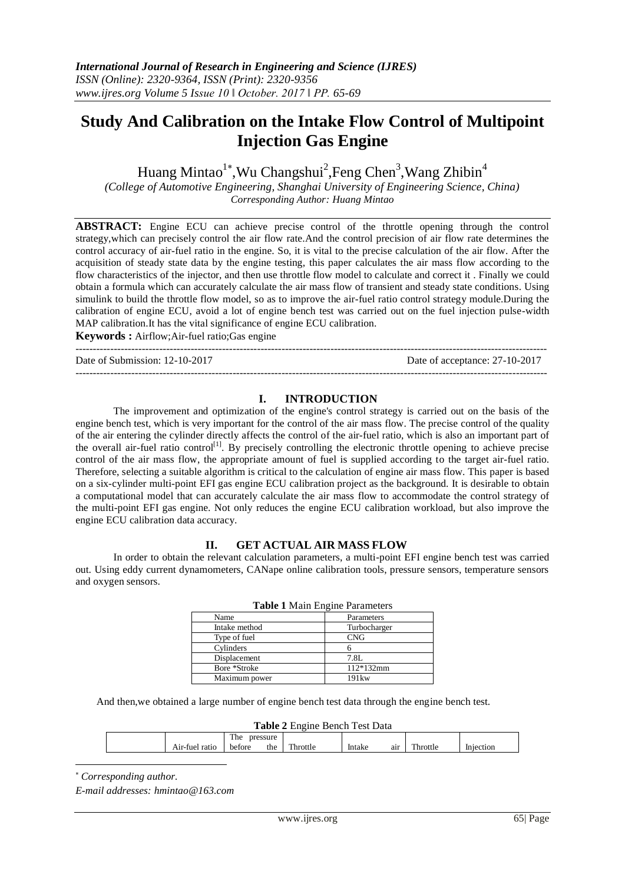# **Study And Calibration on the Intake Flow Control of Multipoint Injection Gas Engine**

Huang Mintao<sup>1\*</sup>,Wu Changshui<sup>2</sup>,Feng Chen<sup>3</sup>,Wang Zhibin<sup>4</sup>

*(College of Automotive Engineering, Shanghai University of Engineering Science, China) Corresponding Author: Huang Mintao*

**ABSTRACT:** Engine ECU can achieve precise control of the throttle opening through the control strategy,which can precisely control the air flow rate.And the control precision of air flow rate determines the control accuracy of air-fuel ratio in the engine. So, it is vital to the precise calculation of the air flow. After the acquisition of steady state data by the engine testing, this paper calculates the air mass flow according to the flow characteristics of the injector, and then use throttle flow model to calculate and correct it . Finally we could obtain a formula which can accurately calculate the air mass flow of transient and steady state conditions. Using simulink to build the throttle flow model, so as to improve the air-fuel ratio control strategy module.During the calibration of engine ECU, avoid a lot of engine bench test was carried out on the fuel injection pulse-width MAP calibration.It has the vital significance of engine ECU calibration.

**Keywords :** Airflow;Air-fuel ratio;Gas engine ---------------------------------------------------------------------------------------------------------------------------------------

Date of Submission: 12-10-2017 Date of acceptance: 27-10-2017

---------------------------------------------------------------------------------------------------------------------------------------

## **I. INTRODUCTION**

The improvement and optimization of the engine's control strategy is carried out on the basis of the engine bench test, which is very important for the control of the air mass flow. The precise control of the quality of the air entering the cylinder directly affects the control of the air-fuel ratio, which is also an important part of the overall air-fuel ratio control<sup>[1]</sup>. By precisely controlling the electronic throttle opening to achieve precise control of the air mass flow, the appropriate amount of fuel is supplied according to the target air-fuel ratio. Therefore, selecting a suitable algorithm is critical to the calculation of engine air mass flow. This paper is based on a six-cylinder multi-point EFI gas engine ECU calibration project as the background. It is desirable to obtain a computational model that can accurately calculate the air mass flow to accommodate the control strategy of the multi-point EFI gas engine. Not only reduces the engine ECU calibration workload, but also improve the engine ECU calibration data accuracy.

## **II. GET ACTUAL AIR MASS FLOW**

In order to obtain the relevant calculation parameters, a multi-point EFI engine bench test was carried out. Using eddy current dynamometers, CANape online calibration tools, pressure sensors, temperature sensors and oxygen sensors.

| <b>Table 1</b> Maill Engine Parameters |                   |  |  |  |  |  |
|----------------------------------------|-------------------|--|--|--|--|--|
| Name                                   | Parameters        |  |  |  |  |  |
| Intake method                          | Turbocharger      |  |  |  |  |  |
| Type of fuel                           | <b>CNG</b>        |  |  |  |  |  |
| Cylinders                              |                   |  |  |  |  |  |
| Displacement                           | 7.8L              |  |  |  |  |  |
| Bore *Stroke                           | 112*132mm         |  |  |  |  |  |
| Maximum power                          | 191 <sub>kw</sub> |  |  |  |  |  |

|  | <b>Table 1 Main Engine Parameters</b> |
|--|---------------------------------------|
|  |                                       |

And then,we obtained a large number of engine bench test data through the engine bench test.

| <b>Table 2 Engine Bench Test Data</b> |                 |               |          |  |               |          |           |  |  |  |
|---------------------------------------|-----------------|---------------|----------|--|---------------|----------|-----------|--|--|--|
|                                       | The<br>pressure |               |          |  |               |          |           |  |  |  |
|                                       | Air-fuel ratio  | the<br>before | Throttle |  | Intake<br>air | Throttle | Injection |  |  |  |

**Table 2** Engine Bench Test Data

*Corresponding author.*

1

*E-mail addresses: hmintao@163.com*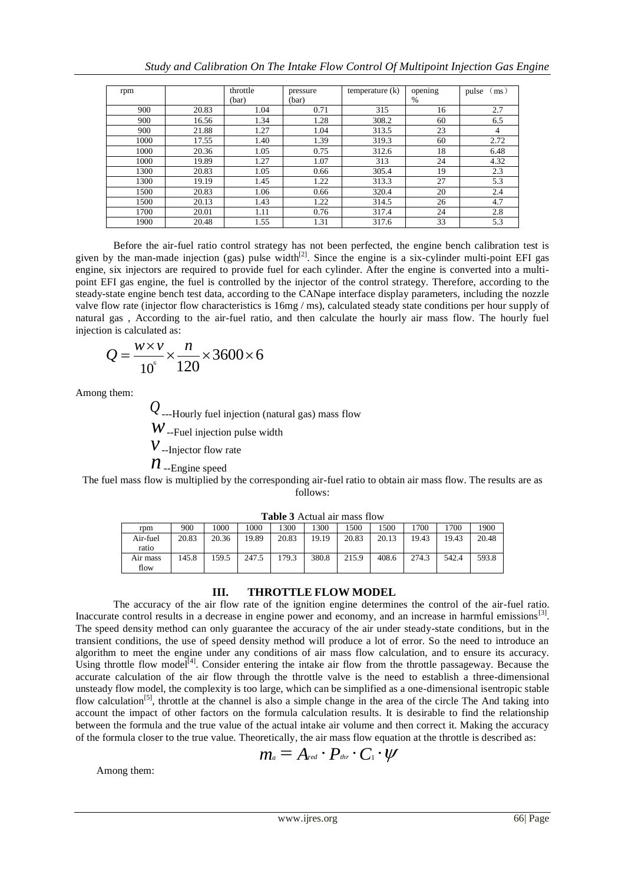| rpm  |       | throttle<br>pressure |       | temperature $(k)$ | opening | pulse<br>(ms) |
|------|-------|----------------------|-------|-------------------|---------|---------------|
|      |       | (bar)                | (bar) |                   | $\%$    |               |
| 900  | 20.83 | 1.04                 | 0.71  | 315               | 16      | 2.7           |
| 900  | 16.56 | 1.34                 | 1.28  | 308.2             | 60      | 6.5           |
| 900  | 21.88 | 1.27                 | 1.04  | 313.5             | 23      | 4             |
| 1000 | 17.55 | 1.40                 | 1.39  | 319.3             | 60      | 2.72          |
| 1000 | 20.36 | 1.05                 | 0.75  | 312.6             | 18      | 6.48          |
| 1000 | 19.89 | 1.27                 | 1.07  | 313               | 24      | 4.32          |
| 1300 | 20.83 | 1.05                 | 0.66  | 305.4             | 19      | 2.3           |
| 1300 | 19.19 | 1.45                 | 1.22  | 313.3             | 27      | 5.3           |
| 1500 | 20.83 | 1.06                 | 0.66  | 320.4             | 20      | 2.4           |
| 1500 | 20.13 | 1.43                 | 1.22  | 314.5             | 26      | 4.7           |
| 1700 | 20.01 | 1.11                 | 0.76  | 317.4             | 24      | 2.8           |
| 1900 | 20.48 | 1.55                 | 1.31  | 317.6             | 33      | 5.3           |

Before the air-fuel ratio control strategy has not been perfected, the engine bench calibration test is given by the man-made injection (gas) pulse width $^{[2]}$ . Since the engine is a six-cylinder multi-point EFI gas engine, six injectors are required to provide fuel for each cylinder. After the engine is converted into a multipoint EFI gas engine, the fuel is controlled by the injector of the control strategy. Therefore, according to the steady-state engine bench test data, according to the CANape interface display parameters, including the nozzle valve flow rate (injector flow characteristics is 16mg / ms), calculated steady state conditions per hour supply of natural gas , According to the air-fuel ratio, and then calculate the hourly air mass flow. The hourly fuel injection is calculated as:

$$
Q = \frac{w \times v}{10^6} \times \frac{n}{120} \times 3600 \times 6
$$

Among them:

*Q*---Hourly fuel injection (natural gas) mass flow *w*--Fuel injection pulse width *v*--Injector flow rate  $n_{\text{-Engine speed}}$ 

The fuel mass flow is multiplied by the corresponding air-fuel ratio to obtain air mass flow. The results are as follows:

| rpm              | 900   | .000  | .000  | 300   | 300   | 500   | .500  | .700  | 1700  | 1900  |
|------------------|-------|-------|-------|-------|-------|-------|-------|-------|-------|-------|
| Air-fuel         | 20.83 | 20.36 | 19.89 | 20.83 | 19.19 | 20.83 | 20.13 | 19.43 | 19.43 | 20.48 |
| ratio            |       |       |       |       |       |       |       |       |       |       |
| Air mass<br>flow | 145.8 | 159.5 | 247.5 | .79.3 | 380.8 | 215.9 | 408.6 | 274.3 | 542.4 | 593.8 |

**Table 3** Actual air mass flow

## **III. THROTTLE FLOW MODEL**

The accuracy of the air flow rate of the ignition engine determines the control of the air-fuel ratio. Inaccurate control results in a decrease in engine power and economy, and an increase in harmful emissions $[3]$ . The speed density method can only guarantee the accuracy of the air under steady-state conditions, but in the transient conditions, the use of speed density method will produce a lot of error. So the need to introduce an algorithm to meet the engine under any conditions of air mass flow calculation, and to ensure its accuracy. Using throttle flow model<sup>[4]</sup>. Consider entering the intake air flow from the throttle passageway. Because the accurate calculation of the air flow through the throttle valve is the need to establish a three-dimensional unsteady flow model, the complexity is too large, which can be simplified as a one-dimensional isentropic stable flow calculation<sup>[5]</sup>, throttle at the channel is also a simple change in the area of the circle The And taking into account the impact of other factors on the formula calculation results. It is desirable to find the relationship between the formula and the true value of the actual intake air volume and then correct it. Making the accuracy of the formula closer to the true value. Theoretically, the air mass flow equation at the throttle is described as:

$$
m_{\scriptscriptstyle a}=A_{\scriptscriptstyle red}\cdot P_{\scriptscriptstyle thr}\cdot C_{\scriptscriptstyle 1}\cdot\psi
$$

Among them: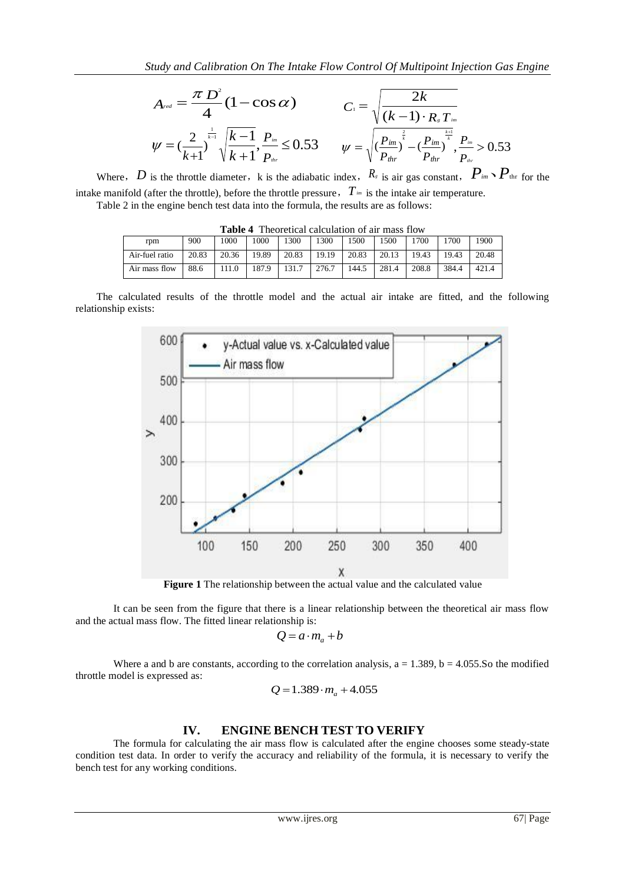$$
A_{\text{red}} = \frac{\pi D^2}{4} (1 - \cos \alpha) \qquad C_1 = \sqrt{\frac{2k}{(k-1) \cdot R_s T_{\text{im}}}}
$$
  

$$
\psi = \left(\frac{2}{k+1}\right)^{\frac{1}{k-1}} \sqrt{\frac{k-1}{k+1}}, \frac{P_{\text{im}}}{P_{\text{im}}} \le 0.53 \qquad \psi = \sqrt{\left(\frac{P_{\text{im}}}{P_{\text{thr}}}\right)^{\frac{2}{k}} - \left(\frac{P_{\text{im}}}{P_{\text{thr}}}\right)^{\frac{k+1}{k}}}, \frac{P_{\text{im}}}{P_{\text{im}}} > 0.53
$$

Where, *D* is the throttle diameter, k is the adiabatic index,  $R_s$  is air gas constant,  $P_{im} \setminus P_{im} \setminus P_{thr}$  for the intake manifold (after the throttle), before the throttle pressure,*Tim* is the intake air temperature.

Table 2 in the engine bench test data into the formula, the results are as follows:

| Theoretical calculation of all mass flow |       |       |       |       |       |       |       |       |       |       |
|------------------------------------------|-------|-------|-------|-------|-------|-------|-------|-------|-------|-------|
| rpm                                      | 900   | 1000  | 1000  | 1300  | 1300  | 1500  | 1500  | '700  | 1700  | 1900  |
| Air-fuel ratio                           | 20.83 | 20.36 | 19.89 | 20.83 | 19.19 | 20.83 | 20.13 | 19.43 | 19.43 | 20.48 |
| Air mass flow                            | 88.6  | 111.0 | 187.9 | 131.7 | 276.7 | 144.5 | 281.4 | 208.8 | 384.4 | 421.4 |

**Table 4** Theoretical calculation of air mass flow

The calculated results of the throttle model and the actual air intake are fitted, and the following relationship exists:



**Figure 1** The relationship between the actual value and the calculated value

It can be seen from the figure that there is a linear relationship between the theoretical air mass flow and the actual mass flow. The fitted linear relationship is:

$$
Q = a \cdot m_a + b
$$

Where a and b are constants, according to the correlation analysis,  $a = 1.389$ ,  $b = 4.055$ . So the modified throttle model is expressed as:

$$
Q = 1.389 \cdot m_a + 4.055
$$

## **IV. ENGINE BENCH TEST TO VERIFY**

The formula for calculating the air mass flow is calculated after the engine chooses some steady-state condition test data. In order to verify the accuracy and reliability of the formula, it is necessary to verify the bench test for any working conditions.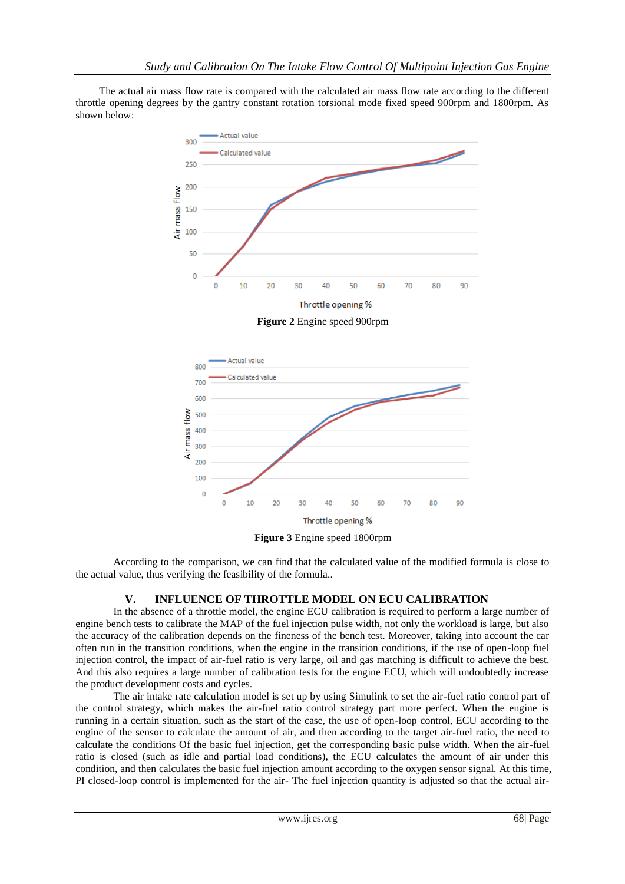The actual air mass flow rate is compared with the calculated air mass flow rate according to the different throttle opening degrees by the gantry constant rotation torsional mode fixed speed 900rpm and 1800rpm. As shown below:



**Figure 2** Engine speed 900rpm



**Figure 3** Engine speed 1800rpm

According to the comparison, we can find that the calculated value of the modified formula is close to the actual value, thus verifying the feasibility of the formula..

## **V. INFLUENCE OF THROTTLE MODEL ON ECU CALIBRATION**

In the absence of a throttle model, the engine ECU calibration is required to perform a large number of engine bench tests to calibrate the MAP of the fuel injection pulse width, not only the workload is large, but also the accuracy of the calibration depends on the fineness of the bench test. Moreover, taking into account the car often run in the transition conditions, when the engine in the transition conditions, if the use of open-loop fuel injection control, the impact of air-fuel ratio is very large, oil and gas matching is difficult to achieve the best. And this also requires a large number of calibration tests for the engine ECU, which will undoubtedly increase the product development costs and cycles.

The air intake rate calculation model is set up by using Simulink to set the air-fuel ratio control part of the control strategy, which makes the air-fuel ratio control strategy part more perfect. When the engine is running in a certain situation, such as the start of the case, the use of open-loop control, ECU according to the engine of the sensor to calculate the amount of air, and then according to the target air-fuel ratio, the need to calculate the conditions Of the basic fuel injection, get the corresponding basic pulse width. When the air-fuel ratio is closed (such as idle and partial load conditions), the ECU calculates the amount of air under this condition, and then calculates the basic fuel injection amount according to the oxygen sensor signal. At this time, PI closed-loop control is implemented for the air- The fuel injection quantity is adjusted so that the actual air